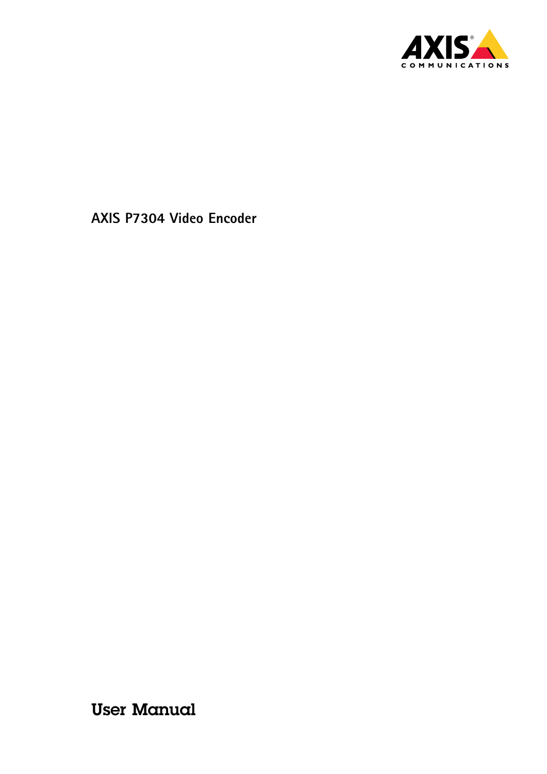

User Manual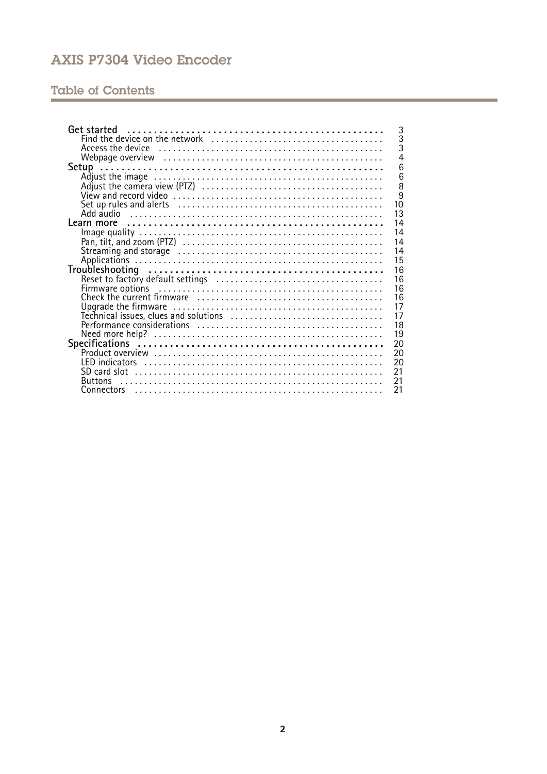# **Table of Contents**

| 3                    |
|----------------------|
| $\overline{3}$       |
| $\bar{3}$            |
| $\overline{4}$       |
| 6                    |
| 6                    |
| 8                    |
| $\overline{9}$       |
| 10                   |
| 13                   |
| 14                   |
| 14                   |
| 14                   |
| 14                   |
| 15                   |
| 16                   |
| 16                   |
| 16                   |
| 16                   |
| 17                   |
| 17                   |
| 18<br>19             |
|                      |
| 20<br>20             |
| 20                   |
| 21                   |
| 21<br><b>Buttons</b> |
| 21                   |
|                      |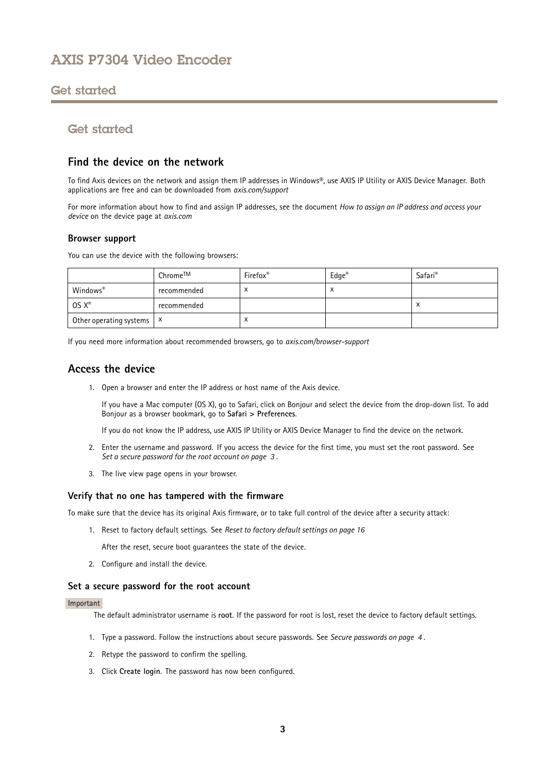# <span id="page-2-0"></span>Get started

# Get started

### **Find the device on the network**

To find Axis devices on the network and assign them IP addresses in Windows®, use AXIS IP Utility or AXIS Device Manager. Both applications are free and can be downloaded from *[axis.com/support](https://www.axis.com/support)*

For more information about how to find and assign IP addresses, see the document *How to assign an IP address and access your device* on the device page at *[axis.com](https://www.axis.com)*

#### **Browser support**

You can use the device with the following browsers:

|                             | Chrome™     | Firefox®  | $Edge^{\otimes}$ | Safari <sup>®</sup> |
|-----------------------------|-------------|-----------|------------------|---------------------|
| Windows <sup>®</sup>        | recommended | $\lambda$ | $\lambda$        |                     |
| $OS X^*$                    | recommended |           |                  |                     |
| Other operating systems   X |             | ⌒         |                  |                     |

If you need more information about recommended browsers, go to *[axis.com/browser-support](https://www.axis.com/browser-support)*

### **Access the device**

1. Open <sup>a</sup> browser and enter the IP address or host name of the Axis device.

If you have <sup>a</sup> Mac computer (OS X), go to Safari, click on Bonjour and select the device from the drop-down list. To add Bonjour as <sup>a</sup> browser bookmark, go to **Safari <sup>&</sup>gt; Preferences**.

If you do not know the IP address, use AXIS IP Utility or AXIS Device Manager to find the device on the network.

- 2. Enter the username and password. If you access the device for the first time, you must set the root password. See *Set <sup>a</sup> secure password for the root account on page 3* .
- 3. The live view page opens in your browser.

#### **Verify that no one has tampered with the firmware**

To make sure that the device has its original Axis firmware, or to take full control of the device after <sup>a</sup> security attack:

1. Reset to factory default settings. See *Reset to factory default [settings](#page-15-0) on page [16](#page-15-0)*

After the reset, secure boot guarantees the state of the device.

2. Configure and install the device.

#### **Set <sup>a</sup> secure password for the root account**

#### Important

The default administrator username is **root**. If the password for root is lost, reset the device to factory default settings.

- 1. Type <sup>a</sup> password. Follow the instructions about secure passwords. See *Secure [passwords](#page-3-0) on page [4](#page-3-0)* .
- 2. Retype the password to confirm the spelling.
- 3. Click **Create login**. The password has now been configured.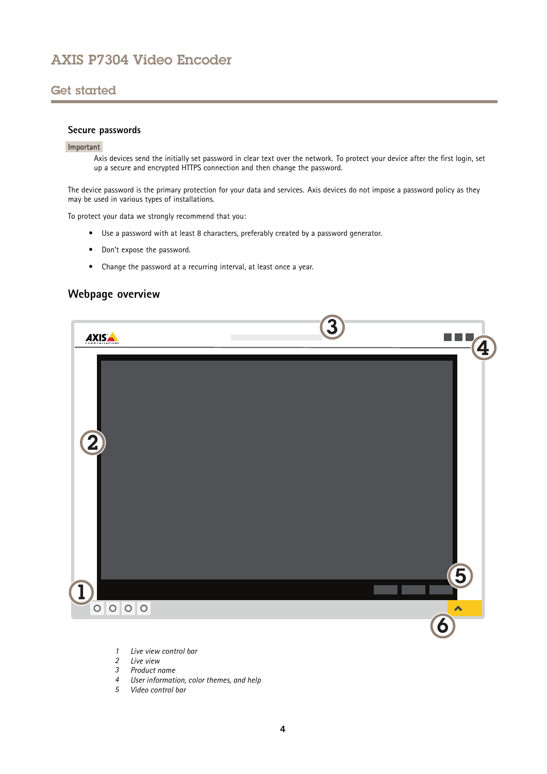# <span id="page-3-0"></span>Get started

#### **Secure passwords**

#### Important

Axis devices send the initially set password in clear text over the network. To protect your device after the first login, set up <sup>a</sup> secure and encrypted HTTPS connection and then change the password.

The device password is the primary protection for your data and services. Axis devices do not impose <sup>a</sup> password policy as they may be used in various types of installations.

To protect your data we strongly recommend that you:

- Use <sup>a</sup> password with at least 8 characters, preferably created by <sup>a</sup> password generator.
- Don't expose the password.
- Change the password at <sup>a</sup> recurring interval, at least once <sup>a</sup> year.

### **Webpage overview**



- *1 Live view control bar*
- *2 Live view*
- *3 Product name*
- *<sup>4</sup> User information, color themes, and help*
- *5 Video control bar*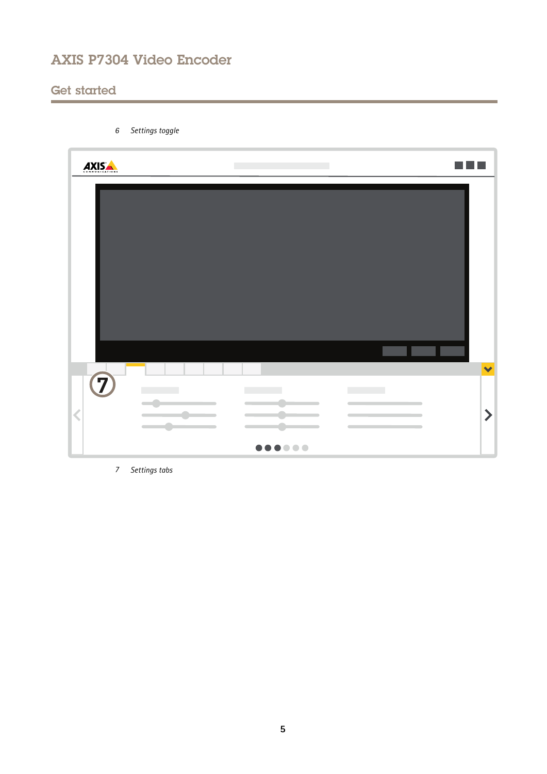# Get started

| Settings toggle<br>$\boldsymbol{6}$                                                               |                                 |                                                                        |
|---------------------------------------------------------------------------------------------------|---------------------------------|------------------------------------------------------------------------|
| AXIS                                                                                              |                                 |                                                                        |
|                                                                                                   |                                 |                                                                        |
|                                                                                                   |                                 | $\blacktriangledown$                                                   |
| $\overline{z}$<br>$\overline{\mathbf{C}}$<br>$\overline{\phantom{a}}$<br>$\overline{\phantom{a}}$ | <b>The Common</b><br>$\sqrt{2}$ | <b>The Common</b><br>$\blacktriangleright$<br>$\overline{\phantom{a}}$ |
|                                                                                                   | $0 0 0 0 0 0 0$                 |                                                                        |

*7 Settings tabs*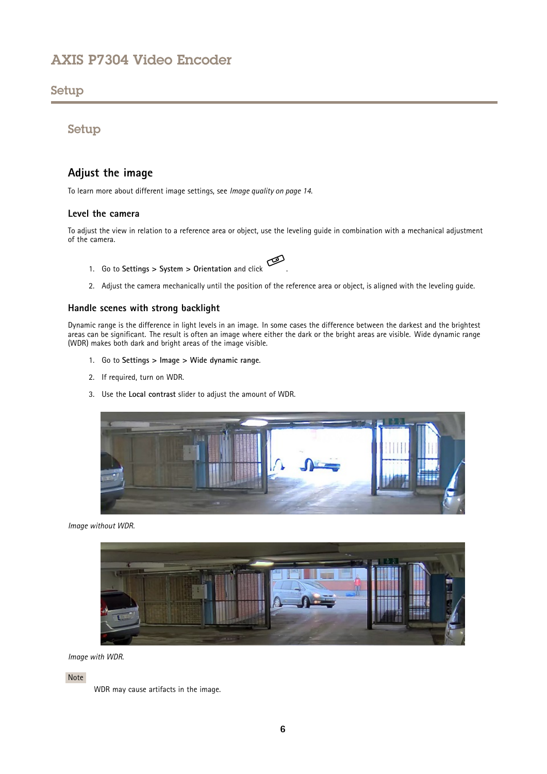### <span id="page-5-0"></span>Setup

Setup

# **Adjust the image**

To learn more about different image settings, see *[Image](#page-13-0) quality on page [14](#page-13-0)*.

#### **Level the camera**

To adjust the view in relation to <sup>a</sup> reference area or object, use the leveling guide in combination with <sup>a</sup> mechanical adjustment of the camera.

- 1. Go to **Settings <sup>&</sup>gt; System <sup>&</sup>gt; Orientation** and click .
	-
- 2. Adjust the camera mechanically until the position of the reference area or object, is aligned with the leveling guide.

#### **Handle scenes with strong backlight**

Dynamic range is the difference in light levels in an image. In some cases the difference between the darkest and the brightest areas can be significant. The result is often an image where either the dark or the bright areas are visible. Wide dynamic range (WDR) makes both dark and bright areas of the image visible.

- 1. Go to **Settings <sup>&</sup>gt; Image <sup>&</sup>gt; Wide dynamic range**.
- 2. If required, turn on WDR.
- 3. Use the **Local contrast** slider to adjust the amount of WDR.



*Image without WDR.*



*Image with WDR.*

Note

WDR may cause artifacts in the image.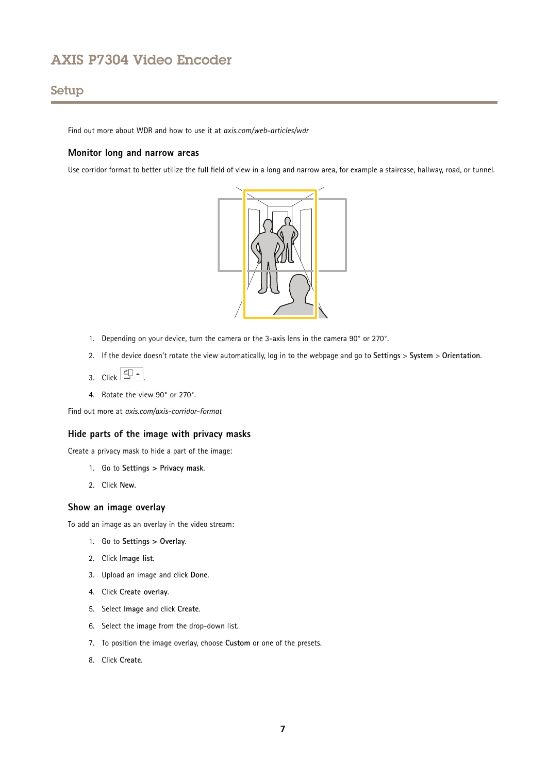# Setup

Find out more about WDR and how to use it at *[axis.com/web-articles/wdr](https://www.axis.com/web-articles/wdr)*

#### **Monitor long and narrow areas**

Use corridor format to better utilize the full field of view in <sup>a</sup> long and narrow area, for example <sup>a</sup> staircase, hallway, road, or tunnel.



- 1. Depending on your device, turn the camera or the 3-axis lens in the camera 90° or 270°.
- 2. If the device doesn't rotate the view automatically, log in to the webpage and go to **Settings** <sup>&</sup>gt; **System** <sup>&</sup>gt; **Orientation**.
- 3. Click  $\boxed{\leftarrow}$   $\leftarrow$
- 4. Rotate the view 90° or 270°.

Find out more at *[axis.com/axis-corridor-format](https://www.axis.com/axis-corridor-format)*

#### **Hide parts of the image with privacy masks**

Create <sup>a</sup> privacy mask to hide <sup>a</sup> part of the image:

- 1. Go to **Settings <sup>&</sup>gt; Privacy mask**.
- 2. Click **New**.

#### **Show an image overlay**

To add an image as an overlay in the video stream:

- 1. Go to **Settings <sup>&</sup>gt; Overlay**.
- 2. Click **Image list**.
- 3. Upload an image and click **Done**.
- 4. Click **Create overlay**.
- 5. Select **Image** and click **Create**.
- 6. Select the image from the drop-down list.
- 7. To position the image overlay, choose **Custom** or one of the presets.
- 8. Click **Create**.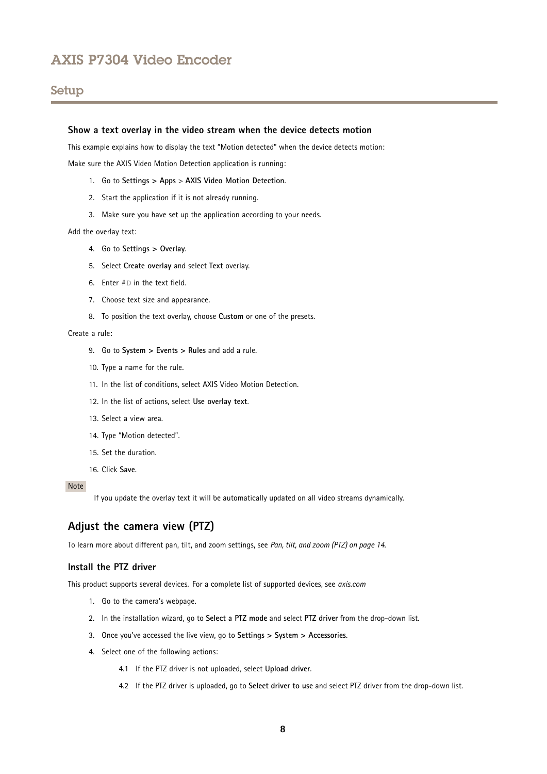# <span id="page-7-0"></span>Setup

#### **Show <sup>a</sup> text overlay in the video stream when the device detects motion**

This example explains how to display the text "Motion detected" when the device detects motion:

Make sure the AXIS Video Motion Detection application is running:

- 1. Go to **Settings <sup>&</sup>gt; Apps** <sup>&</sup>gt; **AXIS Video Motion Detection**.
- 2. Start the application if it is not already running.
- 3. Make sure you have set up the application according to your needs.

Add the overlay text:

- 4. Go to **Settings <sup>&</sup>gt; Overlay**.
- 5. Select **Create overlay** and select **Text** overlay.
- 6. Enter #D in the text field.
- 7. Choose text size and appearance.
- 8. To position the text overlay, choose **Custom** or one of the presets.

#### Create <sup>a</sup> rule:

- 9. Go to **System <sup>&</sup>gt; Events <sup>&</sup>gt; Rules** and add <sup>a</sup> rule.
- 10. Type <sup>a</sup> name for the rule.
- 11. In the list of conditions, select AXIS Video Motion Detection.
- 12. In the list of actions, select **Use overlay text**.
- 13. Select <sup>a</sup> view area.
- 14. Type "Motion detected".
- 15. Set the duration.
- 16. Click **Save**.

#### Note

If you update the overlay text it will be automatically updated on all video streams dynamically.

### **Adjust the camera view (PTZ)**

To learn more about different pan, tilt, and zoom settings, see *Pan, tilt, and zoom [\(PTZ\)](#page-13-0) on page [14](#page-13-0)*.

#### **Install the PTZ driver**

This product supports several devices. For <sup>a</sup> complete list of supported devices, see *[axis.com](https://www.axis.com)*

- 1. Go to the camera's webpage.
- 2. In the installation wizard, go to **Select <sup>a</sup> PTZ mode** and select **PTZ driver** from the drop-down list.
- 3. Once you've accessed the live view, go to **Settings <sup>&</sup>gt; System <sup>&</sup>gt; Accessories**.
- 4. Select one of the following actions:
	- 4.1 If the PTZ driver is not uploaded, select **Upload driver**.
	- 4.2 If the PTZ driver is uploaded, go to **Select driver to use** and select PTZ driver from the drop-down list.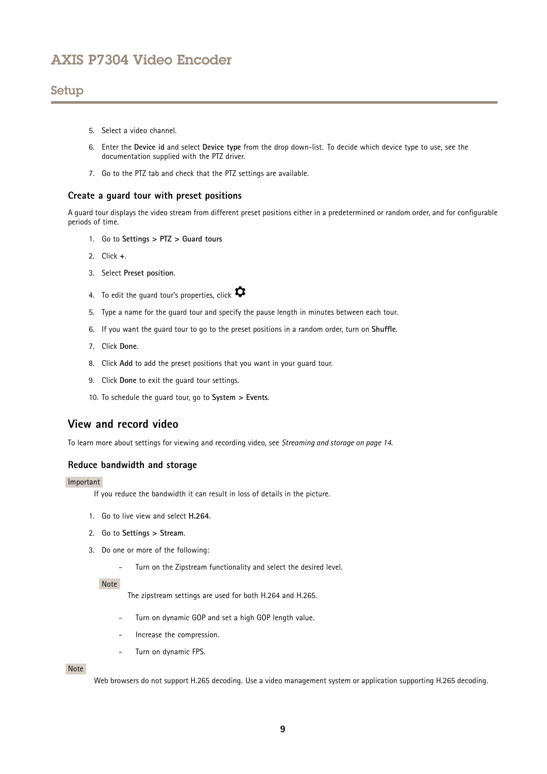### <span id="page-8-0"></span>Setup

- 5. Select <sup>a</sup> video channel.
- 6. Enter the **Device id** and select **Device type** from the drop down-list. To decide which device type to use, see the documentation supplied with the PTZ driver.
- 7. Go to the PTZ tab and check that the PTZ settings are available.

#### **Create <sup>a</sup> guard tour with preset positions**

A guard tour displays the video stream from different preset positions either in <sup>a</sup> predetermined or random order, and for configurable periods of time.

- 1. Go to **Settings <sup>&</sup>gt; PTZ <sup>&</sup>gt; Guard tours**
- 2. Click **<sup>+</sup>**.
- 3. Select **Preset position**.
- 4. To edit the guard tour's properties, click  $\bullet$
- 5. Type <sup>a</sup> name for the guard tour and specify the pause length in minutes between each tour.
- 6. If you want the guard tour to go to the preset positions in <sup>a</sup> random order, turn on **Shuffle**.
- 7. Click **Done**.
- 8. Click **Add** to add the preset positions that you want in your guard tour.
- 9. Click **Done** to exit the guard tour settings.
- 10. To schedule the guard tour, go to **System <sup>&</sup>gt; Events**.

### **View and record video**

To learn more about settings for viewing and recording video, see *[Streaming](#page-13-0) and storage on page [14](#page-13-0)*.

#### **Reduce bandwidth and storage**

#### Important

If you reduce the bandwidth it can result in loss of details in the picture.

- 1. Go to live view and select **H.264**.
- 2. Go to **Settings <sup>&</sup>gt; Stream**.
- 3. Do one or more of the following:
	- -Turn on the Zipstream functionality and select the desired level.

#### Note

The zipstream settings are used for both H.264 and H.265.

- Turn on dynamic GOP and set <sup>a</sup> high GOP length value.
- Increase the compression.
- Turn on dynamic FPS.

#### Note

Web browsers do not support H.265 decoding. Use <sup>a</sup> video management system or application supporting H.265 decoding.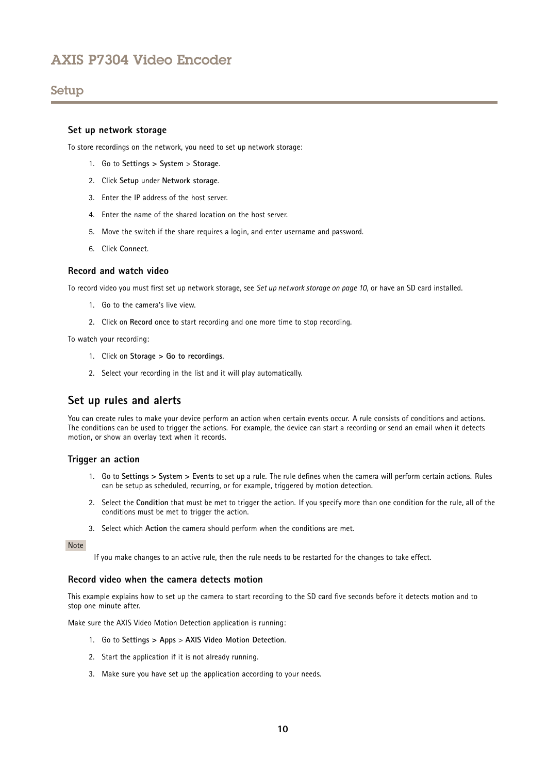# <span id="page-9-0"></span>Setup

#### **Set up network storage**

To store recordings on the network, you need to set up network storage:

- 1. Go to **Settings <sup>&</sup>gt; System** <sup>&</sup>gt; **Storage**.
- 2. Click **Setup** under **Network storage**.
- 3. Enter the IP address of the host server.
- 4. Enter the name of the shared location on the host server.
- 5. Move the switch if the share requires <sup>a</sup> login, and enter username and password.
- 6. Click **Connect**.

#### **Record and watch video**

To record video you must first set up network storage, see *Set up network storage on page 10*, or have an SD card installed.

- 1. Go to the camera's live view.
- 2. Click on **Record** once to start recording and one more time to stop recording.

To watch your recording:

- 1. Click on **Storage <sup>&</sup>gt; Go to recordings**.
- 2. Select your recording in the list and it will play automatically.

### **Set up rules and alerts**

You can create rules to make your device perform an action when certain events occur. A rule consists of conditions and actions. The conditions can be used to trigger the actions. For example, the device can start <sup>a</sup> recording or send an email when it detects motion, or show an overlay text when it records.

#### **Trigger an action**

- 1. Go to **Settings <sup>&</sup>gt; System <sup>&</sup>gt; Events** to set up <sup>a</sup> rule. The rule defines when the camera will perform certain actions. Rules can be setup as scheduled, recurring, or for example, triggered by motion detection.
- 2. Select the **Condition** that must be met to trigger the action. If you specify more than one condition for the rule, all of the conditions must be met to trigger the action.
- 3. Select which **Action** the camera should perform when the conditions are met.

#### Note

If you make changes to an active rule, then the rule needs to be restarted for the changes to take effect.

#### **Record video when the camera detects motion**

This example explains how to set up the camera to start recording to the SD card five seconds before it detects motion and to stop one minute after.

Make sure the AXIS Video Motion Detection application is running:

- 1. Go to **Settings <sup>&</sup>gt; Apps** <sup>&</sup>gt; **AXIS Video Motion Detection**.
- 2. Start the application if it is not already running.
- 3. Make sure you have set up the application according to your needs.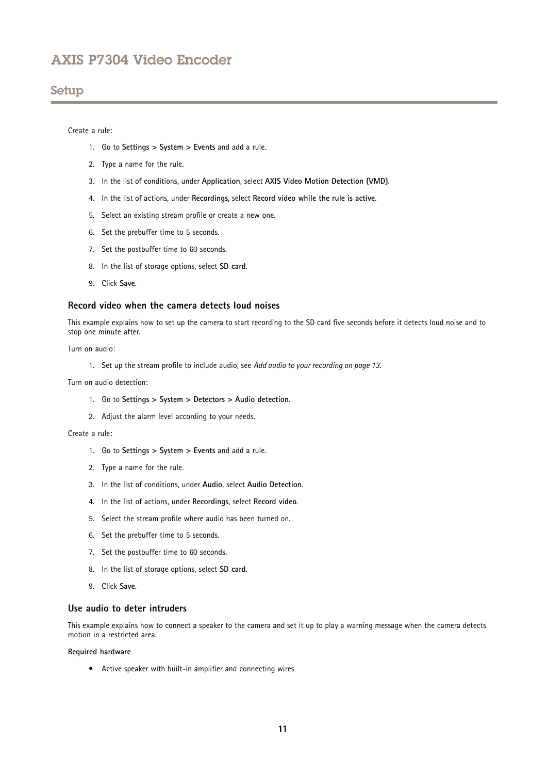### Setup

#### Create <sup>a</sup> rule:

- 1. Go to **Settings <sup>&</sup>gt; System <sup>&</sup>gt; Events** and add <sup>a</sup> rule.
- 2. Type <sup>a</sup> name for the rule.
- 3. In the list of conditions, under **Application**, select **AXIS Video Motion Detection (VMD)**.
- 4. In the list of actions, under **Recordings**, select **Record video while the rule is active**.
- 5. Select an existing stream profile or create <sup>a</sup> new one.
- 6. Set the prebuffer time to 5 seconds.
- 7. Set the postbuffer time to 60 seconds.
- 8. In the list of storage options, select **SD card**.
- 9. Click **Save**.

#### **Record video when the camera detects loud noises**

This example explains how to set up the camera to start recording to the SD card five seconds before it detects loud noise and to stop one minute after.

Turn on audio:

1. Set up the stream profile to include audio, see *Add audio to your [recording](#page-12-0) on page [13](#page-12-0)*.

Turn on audio detection:

- 1. Go to **Settings <sup>&</sup>gt; System <sup>&</sup>gt; Detectors <sup>&</sup>gt; Audio detection**.
- 2. Adjust the alarm level according to your needs.

#### Create <sup>a</sup> rule:

- 1. Go to **Settings <sup>&</sup>gt; System <sup>&</sup>gt; Events** and add <sup>a</sup> rule.
- 2. Type <sup>a</sup> name for the rule.
- 3. In the list of conditions, under **Audio**, select **Audio Detection**.
- 4. In the list of actions, under **Recordings**, select **Record video**.
- 5. Select the stream profile where audio has been turned on.
- 6. Set the prebuffer time to 5 seconds.
- 7. Set the postbuffer time to 60 seconds.
- 8. In the list of storage options, select **SD card**.
- 9. Click **Save**.

#### **Use audio to deter intruders**

This example explains how to connect <sup>a</sup> speaker to the camera and set it up to play <sup>a</sup> warning message when the camera detects motion in a restricted area.

#### **Required hardware**

• Active speaker with built-in amplifier and connecting wires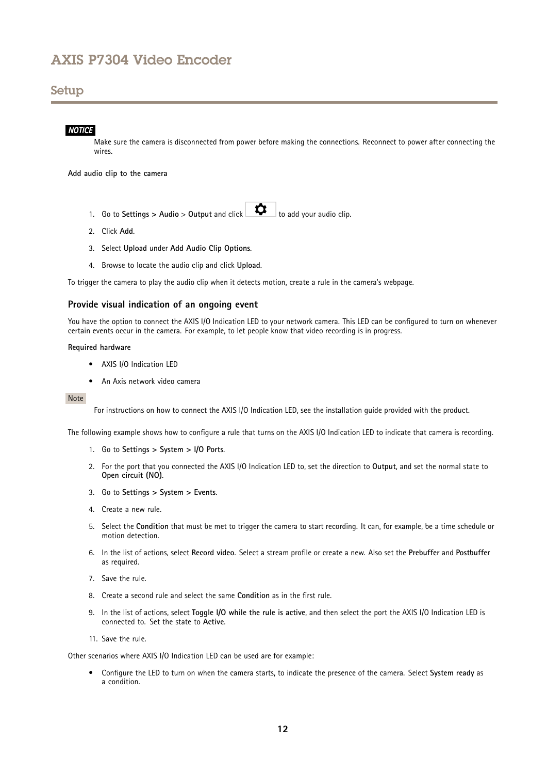# Setup

#### *NOTICE*

Make sure the camera is disconnected from power before making the connections. Reconnect to power after connecting the wires.

**Add audio clip to the camera**

- 1. Go to **Settings** > Audio > Output and click  $\begin{bmatrix} \bullet & \bullet \\ \bullet & \bullet \end{bmatrix}$  to add your audio clip.
- 2. Click **Add**.
- 3. Select **Upload** under **Add Audio Clip Options**.
- 4. Browse to locate the audio clip and click **Upload**.

To trigger the camera to play the audio clip when it detects motion, create <sup>a</sup> rule in the camera's webpage.

#### **Provide visual indication of an ongoing event**

You have the option to connect the AXIS I/O Indication LED to your network camera. This LED can be configured to turn on whenever certain events occur in the camera. For example, to let people know that video recording is in progress.

#### **Required hardware**

- AXIS I/O Indication LED
- An Axis network video camera

#### Note

For instructions on how to connect the AXIS I/O Indication LED, see the installation guide provided with the product.

The following example shows how to configure a rule that turns on the AXIS I/O Indication LED to indicate that camera is recording.

- 1. Go to **Settings <sup>&</sup>gt; System <sup>&</sup>gt; I/O Ports**.
- 2. For the port that you connected the AXIS I/O Indication LED to, set the direction to **Output**, and set the normal state to **Open circuit (NO)**.
- 3. Go to **Settings <sup>&</sup>gt; System <sup>&</sup>gt; Events**.
- 4. Create <sup>a</sup> new rule.
- 5. Select the **Condition** that must be met to trigger the camera to start recording. It can, for example, be <sup>a</sup> time schedule or motion detection.
- 6. In the list of actions, select **Record video**. Select <sup>a</sup> stream profile or create <sup>a</sup> new. Also set the **Prebuffer** and **Postbuffer** as required.
- 7. Save the rule.
- 8. Create <sup>a</sup> second rule and select the same **Condition** as in the first rule.
- 9. In the list of actions, select **Toggle I/O while the rule is active**, and then select the port the AXIS I/O Indication LED is connected to. Set the state to **Active**.
- 11. Save the rule.

Other scenarios where AXIS I/O Indication LED can be used are for example:

• Configure the LED to turn on when the camera starts, to indicate the presence of the camera. Select **System ready** as a condition.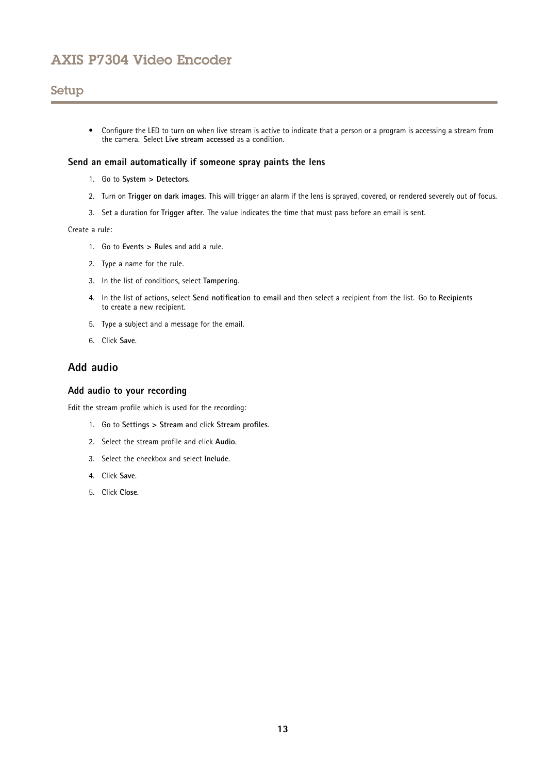# <span id="page-12-0"></span>Setup

• Configure the LED to turn on when live stream is active to indicate that <sup>a</sup> person or <sup>a</sup> program is accessing <sup>a</sup> stream from the camera. Select **Live stream accessed** as <sup>a</sup> condition.

### **Send an email automatically if someone spray paints the lens**

- 1. Go to **System <sup>&</sup>gt; Detectors**.
- 2. Turn on **Trigger on dark images**. This will trigger an alarm if the lens is sprayed, covered, or rendered severely out of focus.
- 3. Set <sup>a</sup> duration for **Trigger after**. The value indicates the time that must pass before an email is sent.

#### Create <sup>a</sup> rule:

- 1. Go to **Events <sup>&</sup>gt; Rules** and add <sup>a</sup> rule.
- 2. Type <sup>a</sup> name for the rule.
- 3. In the list of conditions, select **Tampering**.
- 4. In the list of actions, select **Send notification to email** and then select <sup>a</sup> recipient from the list. Go to **Recipients** to create <sup>a</sup> new recipient.
- 5. Type <sup>a</sup> subject and <sup>a</sup> message for the email.
- 6. Click **Save**.

# **Add audio**

#### **Add audio to your recording**

Edit the stream profile which is used for the recording:

- 1. Go to **Settings <sup>&</sup>gt; Stream** and click **Stream profiles**.
- 2. Select the stream profile and click **Audio**.
- 3. Select the checkbox and select **Include**.
- 4. Click **Save**.
- 5. Click **Close**.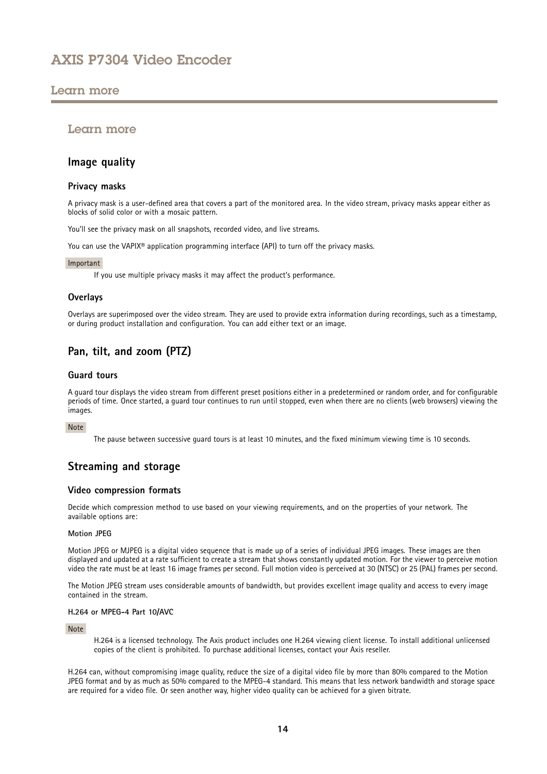# <span id="page-13-0"></span>Learn more

### Learn more

### **Image quality**

#### **Privacy masks**

A privacy mask is <sup>a</sup> user-defined area that covers <sup>a</sup> part of the monitored area. In the video stream, privacy masks appear either as blocks of solid color or with <sup>a</sup> mosaic pattern.

You'll see the privacy mask on all snapshots, recorded video, and live streams.

You can use the VAPIX<sup>®</sup> application programming interface (API) to turn off the privacy masks.

#### Important

If you use multiple privacy masks it may affect the product's performance.

#### **Overlays**

Overlays are superimposed over the video stream. They are used to provide extra information during recordings, such as <sup>a</sup> timestamp, or during product installation and configuration. You can add either text or an image.

# **Pan, tilt, and zoom (PTZ)**

#### **Guard tours**

A guard tour displays the video stream from different preset positions either in <sup>a</sup> predetermined or random order, and for configurable periods of time. Once started, <sup>a</sup> guard tour continues to run until stopped, even when there are no clients (web browsers) viewing the images.

#### Note

The pause between successive guard tours is at least 10 minutes, and the fixed minimum viewing time is 10 seconds.

# **Streaming and storage**

#### **Video compression formats**

Decide which compression method to use based on your viewing requirements, and on the properties of your network. The available options are:

#### **Motion JPEG**

Motion JPEG or MJPEG is <sup>a</sup> digital video sequence that is made up of <sup>a</sup> series of individual JPEG images. These images are then displayed and updated at <sup>a</sup> rate sufficient to create <sup>a</sup> stream that shows constantly updated motion. For the viewer to perceive motion video the rate must be at least <sup>16</sup> image frames per second. Full motion video is perceived at <sup>30</sup> (NTSC) or <sup>25</sup> (PAL) frames per second.

The Motion JPEG stream uses considerable amounts of bandwidth, but provides excellent image quality and access to every image contained in the stream.

#### **H.264 or MPEG-4 Part 10/AVC**

#### Note

H.264 is <sup>a</sup> licensed technology. The Axis product includes one H.264 viewing client license. To install additional unlicensed copies of the client is prohibited. To purchase additional licenses, contact your Axis reseller.

H.264 can, without compromising image quality, reduce the size of <sup>a</sup> digital video file by more than 80% compared to the Motion JPEG format and by as much as 50% compared to the MPEG-4 standard. This means that less network bandwidth and storage space are required for <sup>a</sup> video file. Or seen another way, higher video quality can be achieved for <sup>a</sup> given bitrate.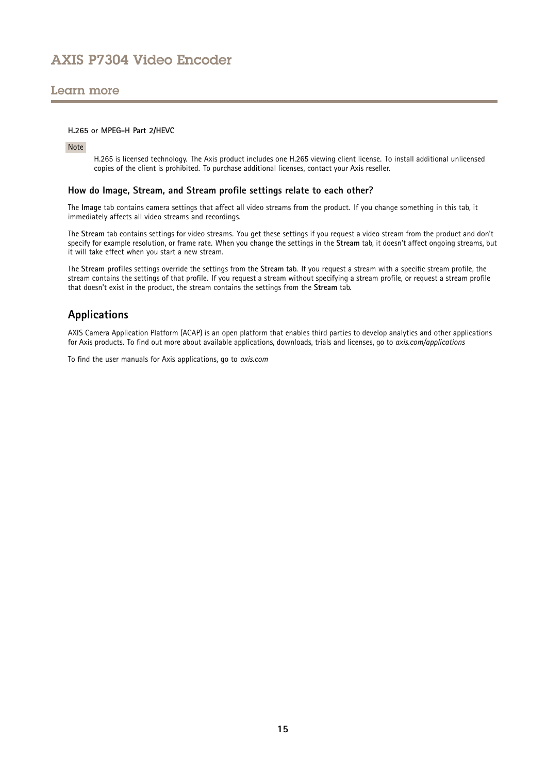### <span id="page-14-0"></span>Learn more

#### **H.265 or MPEG-H Part 2/HEVC**

Note

H.265 is licensed technology. The Axis product includes one H.265 viewing client license. To install additional unlicensed copies of the client is prohibited. To purchase additional licenses, contact your Axis reseller.

#### **How do Image, Stream, and Stream profile settings relate to each other?**

The **Image** tab contains camera settings that affect all video streams from the product. If you change something in this tab, it immediately affects all video streams and recordings.

The **Stream** tab contains settings for video streams. You get these settings if you request <sup>a</sup> video stream from the product and don't specify for example resolution, or frame rate. When you change the settings in the **Stream** tab, it doesn't affect ongoing streams, but it will take effect when you start <sup>a</sup> new stream.

The **Stream profiles** settings override the settings from the **Stream** tab. If you request <sup>a</sup> stream with <sup>a</sup> specific stream profile, the stream contains the settings of that profile. If you request <sup>a</sup> stream without specifying <sup>a</sup> stream profile, or request <sup>a</sup> stream profile that doesn't exist in the product, the stream contains the settings from the **Stream** tab.

### **Applications**

AXIS Camera Application Platform (ACAP) is an open platform that enables third parties to develop analytics and other applications for Axis products. To find out more about available applications, downloads, trials and licenses, go to *[axis.com/applications](https://www.axis.com/applications)*

To find the user manuals for Axis applications, go to *[axis.com](https://www.axis.com)*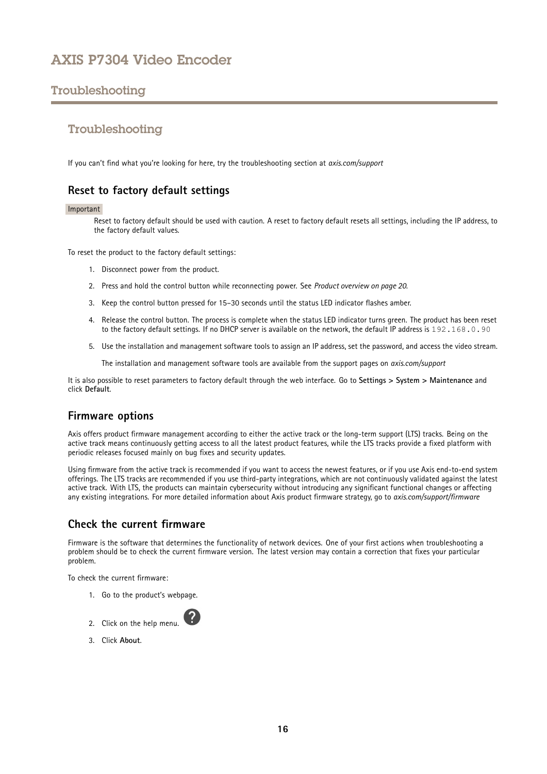# <span id="page-15-0"></span>Troubleshooting

# Troubleshooting

If you can't find what you're looking for here, try the troubleshooting section at *[axis.com/support](https://www.axis.com/support)*

### **Reset to factory default settings**

#### Important

Reset to factory default should be used with caution. A reset to factory default resets all settings, including the IP address, to the factory default values.

To reset the product to the factory default settings:

- 1. Disconnect power from the product.
- 2. Press and hold the control button while reconnecting power. See *Product [overview](#page-19-0) on page [20](#page-19-0)*.
- 3. Keep the control button pressed for 15–30 seconds until the status LED indicator flashes amber.
- 4. Release the control button. The process is complete when the status LED indicator turns green. The product has been reset to the factory default settings. If no DHCP server is available on the network, the default IP address is 192.168.0.90
- 5. Use the installation and management software tools to assign an IP address, set the password, and access the video stream.

The installation and management software tools are available from the support pages on *[axis.com/support](https://www.axis.com/support)*

It is also possible to reset parameters to factory default through the web interface. Go to **Settings <sup>&</sup>gt; System <sup>&</sup>gt; Maintenance** and click **Default**.

# **Firmware options**

Axis offers product firmware management according to either the active track or the long-term support (LTS) tracks. Being on the active track means continuously getting access to all the latest product features, while the LTS tracks provide <sup>a</sup> fixed platform with periodic releases focused mainly on bug fixes and security updates.

Using firmware from the active track is recommended if you want to access the newest features, or if you use Axis end-to-end system offerings. The LTS tracks are recommended if you use third-party integrations, which are not continuously validated against the latest active track. With LTS, the products can maintain cybersecurity without introducing any significant functional changes or affecting any existing integrations. For more detailed information about Axis product firmware strategy, go to *[axis.com/support/firmware](https://www.axis.com/support/firmware)*

# **Check the current firmware**

Firmware is the software that determines the functionality of network devices. One of your first actions when troubleshooting <sup>a</sup> problem should be to check the current firmware version. The latest version may contain <sup>a</sup> correction that fixes your particular problem.

To check the current firmware:

- 1. Go to the product's webpage.
- 2. Click on the help menu.
- 3. Click **About**.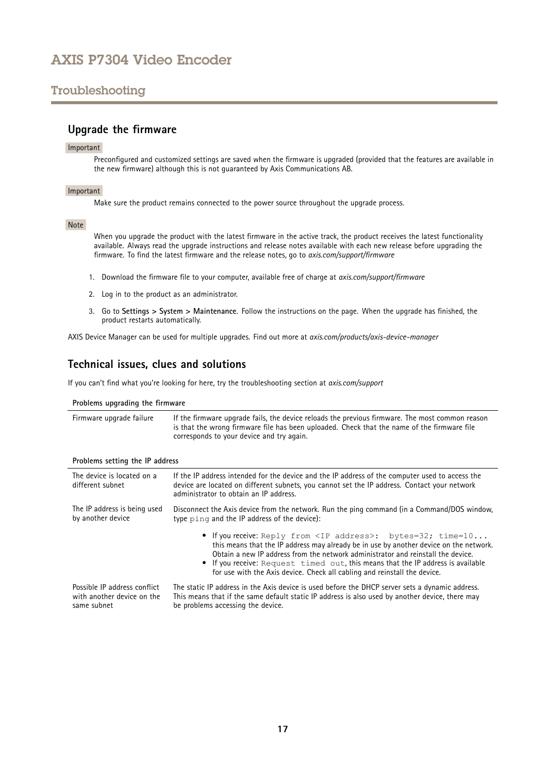# <span id="page-16-0"></span>Troubleshooting

### **Upgrade the firmware**

#### Important

Preconfigured and customized settings are saved when the firmware is upgraded (provided that the features are available in the new firmware) although this is not guaranteed by Axis Communications AB.

#### Important

Make sure the product remains connected to the power source throughout the upgrade process.

#### Note

When you upgrade the product with the latest firmware in the active track, the product receives the latest functionality available. Always read the upgrade instructions and release notes available with each new release before upgrading the firmware. To find the latest firmware and the release notes, go to *[axis.com/support/firmware](https://www.axis.com/support/firmware)*

- 1. Download the firmware file to your computer, available free of charge at *[axis.com/support/firmware](https://www.axis.com/support/firmware)*
- 2. Log in to the product as an administrator.
- 3. Go to **Settings <sup>&</sup>gt; System <sup>&</sup>gt; Maintenance**. Follow the instructions on the page. When the upgrade has finished, the product restarts automatically.

AXIS Device Manager can be used for multiple upgrades. Find out more at *[axis.com/products/axis-device-manager](https://www.axis.com/products/axis-device-manager)*

### **Technical issues, clues and solutions**

If you can't find what you're looking for here, try the troubleshooting section at *[axis.com/support](https://www.axis.com/support)*

| Problems upgrading the firmware                                           |                                                                                                                                                                                                                                                                                                                                                                                                                       |  |
|---------------------------------------------------------------------------|-----------------------------------------------------------------------------------------------------------------------------------------------------------------------------------------------------------------------------------------------------------------------------------------------------------------------------------------------------------------------------------------------------------------------|--|
| Firmware upgrade failure                                                  | If the firmware upgrade fails, the device reloads the previous firmware. The most common reason<br>is that the wrong firmware file has been uploaded. Check that the name of the firmware file<br>corresponds to your device and try again.                                                                                                                                                                           |  |
| Problems setting the IP address                                           |                                                                                                                                                                                                                                                                                                                                                                                                                       |  |
| The device is located on a<br>different subnet                            | If the IP address intended for the device and the IP address of the computer used to access the<br>device are located on different subnets, you cannot set the IP address. Contact your network<br>administrator to obtain an IP address.                                                                                                                                                                             |  |
| The IP address is being used<br>by another device                         | Disconnect the Axis device from the network. Run the ping command (in a Command/DOS window,<br>type ping and the IP address of the device):                                                                                                                                                                                                                                                                           |  |
|                                                                           | • If you receive: Reply from <ip address="">: bytes=32; time=10<br/>this means that the IP address may already be in use by another device on the network.<br/>Obtain a new IP address from the network administrator and reinstall the device.<br/>If you receive: Request timed out, this means that the IP address is available<br/>for use with the Axis device. Check all cabling and reinstall the device.</ip> |  |
| Possible IP address conflict<br>with another device on the<br>same subnet | The static IP address in the Axis device is used before the DHCP server sets a dynamic address.<br>This means that if the same default static IP address is also used by another device, there may<br>be problems accessing the device.                                                                                                                                                                               |  |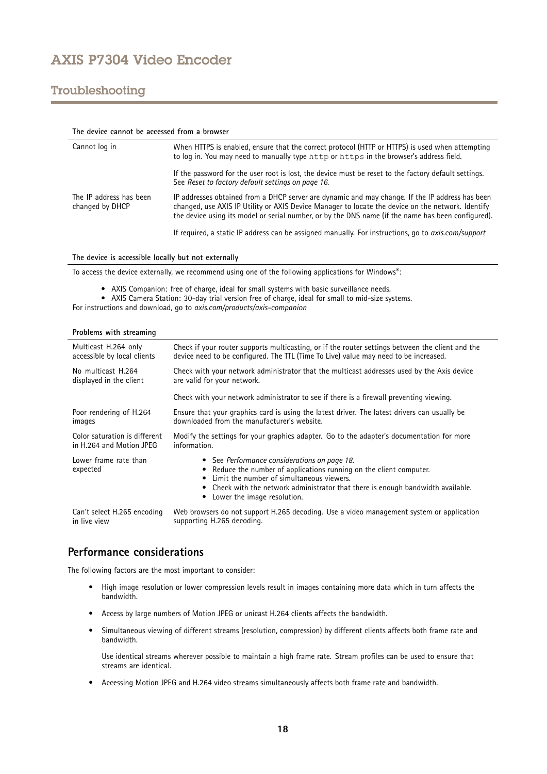# <span id="page-17-0"></span>Troubleshooting

| The device cannot be accessed from a browser |                                                                                                                                                                                                                                                                                                            |  |
|----------------------------------------------|------------------------------------------------------------------------------------------------------------------------------------------------------------------------------------------------------------------------------------------------------------------------------------------------------------|--|
| Cannot log in                                | When HTTPS is enabled, ensure that the correct protocol (HTTP or HTTPS) is used when attempting<br>to log in. You may need to manually type http or https in the browser's address field.                                                                                                                  |  |
|                                              | If the password for the user root is lost, the device must be reset to the factory default settings.<br>See Reset to factory default settings on page 16.                                                                                                                                                  |  |
| The IP address has been<br>changed by DHCP   | IP addresses obtained from a DHCP server are dynamic and may change. If the IP address has been<br>changed, use AXIS IP Utility or AXIS Device Manager to locate the device on the network. Identify<br>the device using its model or serial number, or by the DNS name (if the name has been configured). |  |
|                                              | If required, a static IP address can be assigned manually. For instructions, go to <i>axis.com/support</i>                                                                                                                                                                                                 |  |

**The device is accessible locally but not externally**

To access the device externally, we recommend using one of the following applications for Windows® :

- AXIS Companion: free of charge, ideal for small systems with basic surveillance needs.
- AXIS Camera Station: 30-day trial version free of charge, ideal for small to mid-size systems.

For instructions and download, go to *[axis.com/products/axis-companion](https://www.axis.com/products/axis-companion)*

|  |  | Problems with streaming |
|--|--|-------------------------|
|--|--|-------------------------|

| Multicast H.264 only              | Check if your router supports multicasting, or if the router settings between the client and the                                                                                                                                                                                                 |  |  |
|-----------------------------------|--------------------------------------------------------------------------------------------------------------------------------------------------------------------------------------------------------------------------------------------------------------------------------------------------|--|--|
| accessible by local clients       | device need to be configured. The TTL (Time To Live) value may need to be increased.                                                                                                                                                                                                             |  |  |
| No multicast H.264                | Check with your network administrator that the multicast addresses used by the Axis device                                                                                                                                                                                                       |  |  |
| displayed in the client           | are valid for your network.                                                                                                                                                                                                                                                                      |  |  |
|                                   | Check with your network administrator to see if there is a firewall preventing viewing.                                                                                                                                                                                                          |  |  |
| Poor rendering of H.264           | Ensure that your graphics card is using the latest driver. The latest drivers can usually be                                                                                                                                                                                                     |  |  |
| images                            | downloaded from the manufacturer's website.                                                                                                                                                                                                                                                      |  |  |
| Color saturation is different     | Modify the settings for your graphics adapter. Go to the adapter's documentation for more                                                                                                                                                                                                        |  |  |
| in H.264 and Motion JPEG          | information.                                                                                                                                                                                                                                                                                     |  |  |
| Lower frame rate than<br>expected | • See Performance considerations on page 18.<br>• Reduce the number of applications running on the client computer.<br>Limit the number of simultaneous viewers.<br>$\bullet$<br>• Check with the network administrator that there is enough bandwidth available.<br>Lower the image resolution. |  |  |
| Can't select H.265 encoding       | Web browsers do not support H.265 decoding. Use a video management system or application                                                                                                                                                                                                         |  |  |
| in live view                      | supporting H.265 decoding.                                                                                                                                                                                                                                                                       |  |  |

### **Performance considerations**

The following factors are the most important to consider:

- • High image resolution or lower compression levels result in images containing more data which in turn affects the bandwidth.
- Access by large numbers of Motion JPEG or unicast H.264 clients affects the bandwidth.
- • Simultaneous viewing of different streams (resolution, compression) by different clients affects both frame rate and bandwidth.

Use identical streams wherever possible to maintain <sup>a</sup> high frame rate. Stream profiles can be used to ensure that streams are identical.

• Accessing Motion JPEG and H.264 video streams simultaneously affects both frame rate and bandwidth.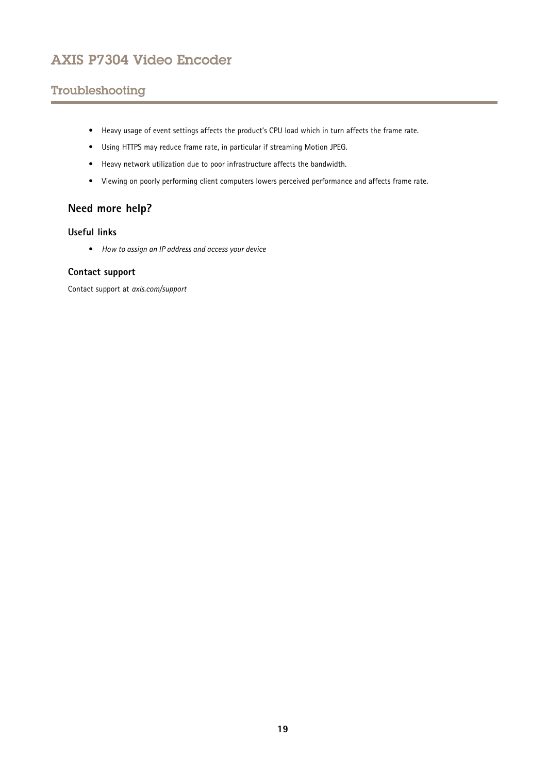# <span id="page-18-0"></span>Troubleshooting

- Heavy usage of event settings affects the product's CPU load which in turn affects the frame rate.
- Using HTTPS may reduce frame rate, in particular if streaming Motion JPEG.
- Heavy network utilization due to poor infrastructure affects the bandwidth.
- Viewing on poorly performing client computers lowers perceived performance and affects frame rate.

# **Need more help?**

#### **Useful links**

• *How to [assign](https://www.axis.com/files/manuals/um_howtoassignanipaddressandaccessyourdevice_t10118032_en_1811.pdf) an IP address and access your device*

#### **Contact support**

Contact support at *[axis.com/support](https://www.axis.com/support)*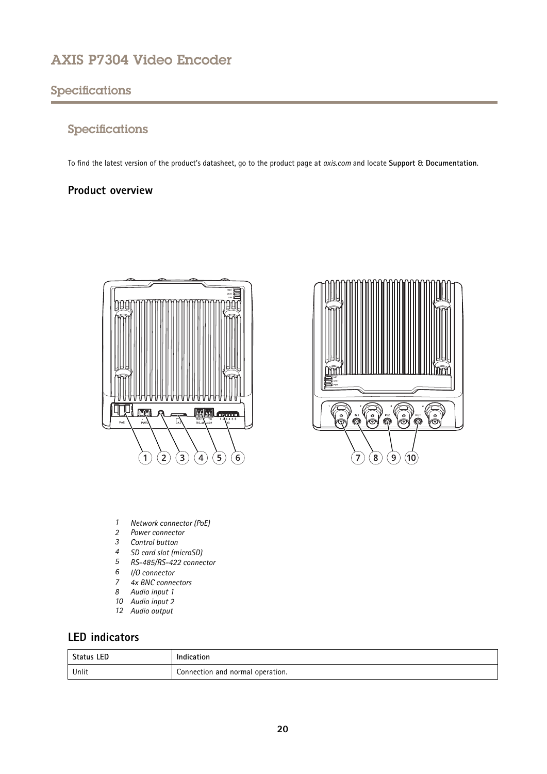# <span id="page-19-0"></span>Specifications

# Specifications

To find the latest version of the product's datasheet, go to the product page at *[axis.com](https://www.axis.com)* and locate **Support & Documentation**.

# **Product overview**



3 60 .<br>≗ ි<br>©  $\odot$  $\boxed{8}$  $\left( 9\right)$  $(10)$ 7

- *1 Network connector (PoE)*
- *2 Power connector*
- *3 Control button*
- *<sup>4</sup> SD card slot (microSD)*
- *5 RS-485/RS-422 connector*
- *6 I/O connector*
- *7 4x BNC connectors*
- *8 Audio input 1*
- *10 Audio input 2*
- *12 Audio output*

# **LED indicators**

| <b>Status LED</b> | .<br>Indication                  |  |
|-------------------|----------------------------------|--|
| Unlit             | Connection and normal operation. |  |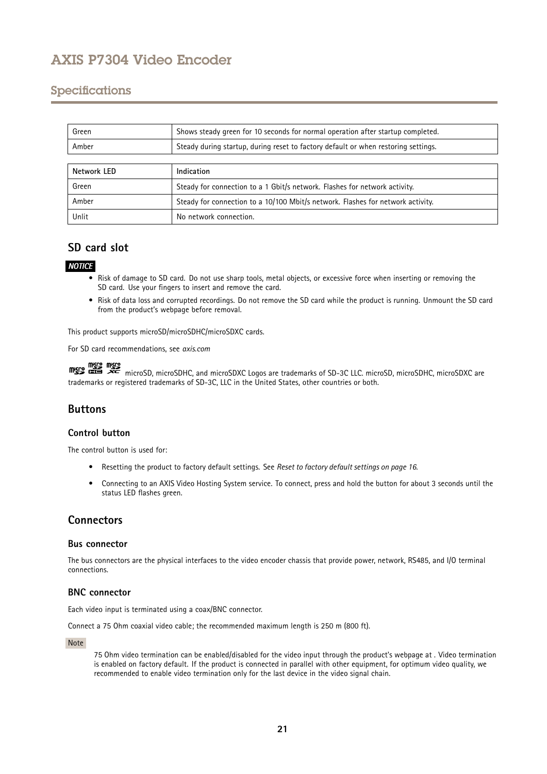# <span id="page-20-0"></span>Specifications

| Green       | Shows steady green for 10 seconds for normal operation after startup completed.    |  |
|-------------|------------------------------------------------------------------------------------|--|
| Amber       | Steady during startup, during reset to factory default or when restoring settings. |  |
|             |                                                                                    |  |
| Network LED | Indication                                                                         |  |
| Green       | Steady for connection to a 1 Gbit/s network. Flashes for network activity.         |  |
| Amber       | Steady for connection to a 10/100 Mbit/s network. Flashes for network activity.    |  |
| Unlit       | No network connection.                                                             |  |

# **SD card slot**

### *NOTICE*

- • Risk of damage to SD card. Do not use sharp tools, metal objects, or excessive force when inserting or removing the SD card. Use your fingers to insert and remove the card.
- Risk of data loss and corrupted recordings. Do not remove the SD card while the product is running. Unmount the SD card from the product's webpage before removal.

This product supports microSD/microSDHC/microSDXC cards.

For SD card recommendations, see *[axis.com](https://www.axis.com)*

micro microSD, microSDHC, and microSDXC Logos are trademarks of SD-3C LLC. microSD, microSDHC, microSDXC are microSDXC are trademarks or registered trademarks of SD-3C, LLC in the United States, other countries or both.

# **Buttons**

#### **Control button**

The control button is used for:

- Resetting the product to factory default settings. See *Reset to factory default [settings](#page-15-0) on page [16](#page-15-0)*.
- • Connecting to an AXIS Video Hosting System service. To connect, press and hold the button for about 3 seconds until the status LED flashes green.

### **Connectors**

#### **Bus connector**

The bus connectors are the physical interfaces to the video encoder chassis that provide power, network, RS485, and I/O terminal connections.

#### **BNC connector**

Each video input is terminated using <sup>a</sup> coax/BNC connector.

Connect <sup>a</sup> <sup>75</sup> Ohm coaxial video cable; the recommended maximum length is <sup>250</sup> <sup>m</sup> (800 ft).

Note

<sup>75</sup> Ohm video termination can be enabled/disabled for the video input through the product's webpage at . Video termination is enabled on factory default. If the product is connected in parallel with other equipment, for optimum video quality, we recommended to enable video termination only for the last device in the video signal chain.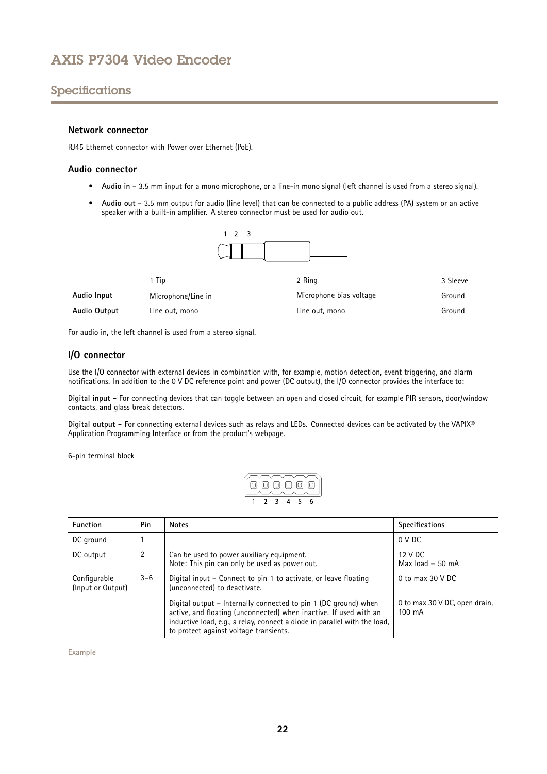# Specifications

#### **Network connector**

RJ45 Ethernet connector with Power over Ethernet (PoE).

#### **Audio connector**

- **Audio in** 3.5 mm input for <sup>a</sup> mono microphone, or <sup>a</sup> line-in mono signal (left channel is used from <sup>a</sup> stereo signal).
- **Audio out** 3.5 mm output for audio (line level) that can be connected to <sup>a</sup> public address (PA) system or an active speaker with <sup>a</sup> built-in amplifier. A stereo connector must be used for audio out.



|              | Tip                | 2 Ring                  | 3 Sleeve |
|--------------|--------------------|-------------------------|----------|
| Audio Input  | Microphone/Line in | Microphone bias voltage | Ground   |
| Audio Output | Line out, mono     | Line out, mono          | Ground   |

For audio in, the left channel is used from <sup>a</sup> stereo signal.

#### **I/O connector**

Use the I/O connector with external devices in combination with, for example, motion detection, event triggering, and alarm notifications. In addition to the <sup>0</sup> V DC reference point and power (DC output), the I/O connector provides the interface to:

**Digital input -** For connecting devices that can toggle between an open and closed circuit, for example PIR sensors, door/window contacts, and glass break detectors.

**Digital output -** For connecting external devices such as relays and LEDs. Connected devices can be activated by the VAPIX® Application Programming Interface or from the product's webpage.

6-pin terminal block

$$
\begin{array}{|c|c|c|}\n\hline\n\textcircled{0} & \textcircled{0} & \textcircled{0} \\
\hline\n1 & 2 & 3 & 4 & 5 & 6\n\end{array}
$$

| <b>Function</b>                   | Pin     | <b>Notes</b>                                                                                                                                                                                                                                                | <b>Specifications</b>                   |
|-----------------------------------|---------|-------------------------------------------------------------------------------------------------------------------------------------------------------------------------------------------------------------------------------------------------------------|-----------------------------------------|
| DC ground                         |         |                                                                                                                                                                                                                                                             | 0 V DC                                  |
| DC output                         | 2       | Can be used to power auxiliary equipment.<br>Note: This pin can only be used as power out.                                                                                                                                                                  | 12 V DC<br>Max $load = 50$ mA           |
| Configurable<br>(Input or Output) | $3 - 6$ | Digital input – Connect to pin 1 to activate, or leave floating<br>(unconnected) to deactivate.                                                                                                                                                             | 0 to max $30$ V DC                      |
|                                   |         | Digital output – Internally connected to pin 1 (DC ground) when<br>active, and floating (unconnected) when inactive. If used with an<br>inductive load, e.g., a relay, connect a diode in parallel with the load,<br>to protect against voltage transients. | 0 to max 30 V DC, open drain,<br>100 mA |

**Example**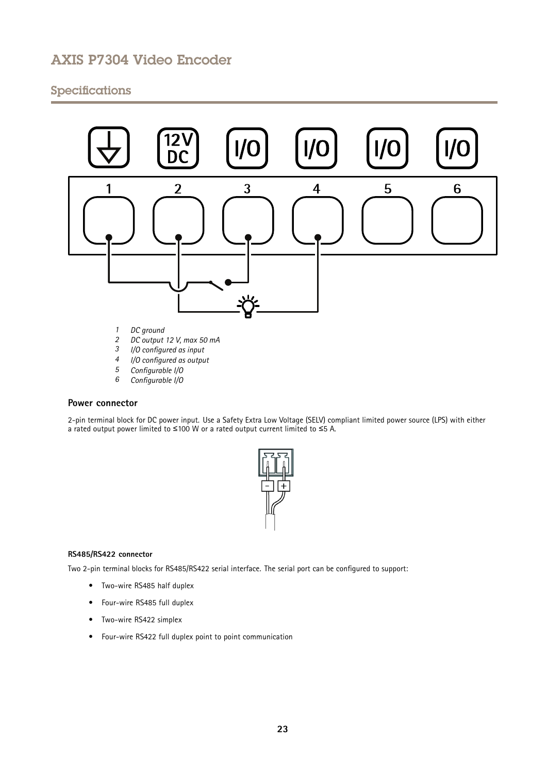# Specifications



- 
- *<sup>3</sup> I/O configured as input*
- *<sup>4</sup> I/O configured as output*
- *<sup>5</sup> Configurable I/O <sup>6</sup> Configurable I/O*

#### **Power connector**

2-pin terminal block for DC power input. Use <sup>a</sup> Safety Extra Low Voltage (SELV) compliant limited power source (LPS) with either <sup>a</sup> rated output power limited to <sup>≤</sup>100 W or <sup>a</sup> rated output current limited to <sup>≤</sup>5 A.



#### **RS485/RS422 connector**

Two 2-pin terminal blocks for RS485/RS422 serial interface. The serial port can be configured to support:

- Two-wire RS485 half duplex
- Four-wire RS485 full duplex
- Two-wire RS422 simplex
- Four-wire RS422 full duplex point to point communication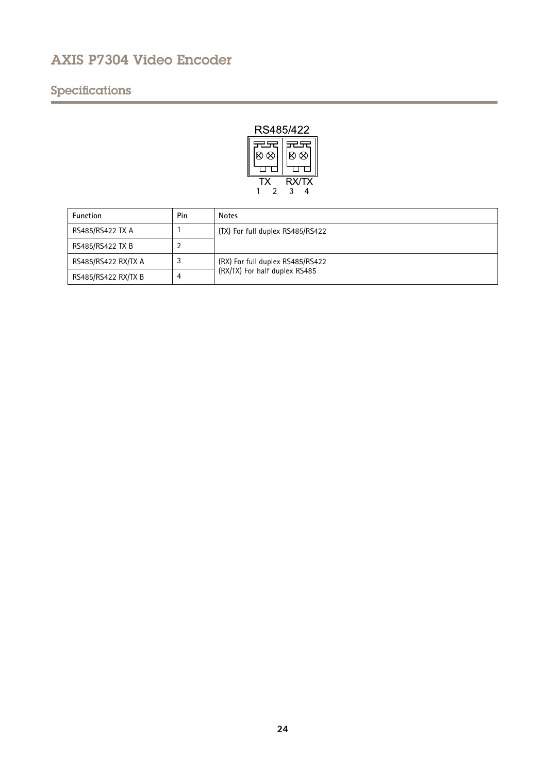# Specifications



| <b>Function</b>     | Pin | <b>Notes</b>                     |
|---------------------|-----|----------------------------------|
| RS485/RS422 TX A    |     | (TX) For full duplex RS485/RS422 |
| RS485/RS422 TX B    |     |                                  |
| RS485/RS422 RX/TX A | J   | (RX) For full duplex RS485/RS422 |
| RS485/RS422 RX/TX B | 4   | (RX/TX) For half duplex RS485    |